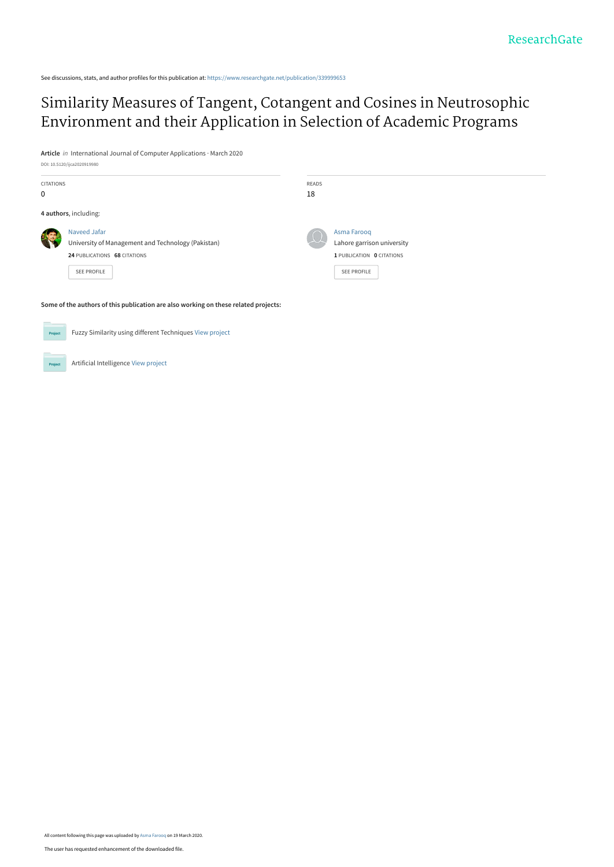See discussions, stats, and author profiles for this publication at: [https://www.researchgate.net/publication/339999653](https://www.researchgate.net/publication/339999653_Similarity_Measures_of_Tangent_Cotangent_and_Cosines_in_Neutrosophic_Environment_and_their_Application_in_Selection_of_Academic_Programs?enrichId=rgreq-6b82582b7c4e289a714f244ecd4b9106-XXX&enrichSource=Y292ZXJQYWdlOzMzOTk5OTY1MztBUzo4NzA3MjM2MjMwODQwMzRAMTU4NDYwODA5Nzk3Ng%3D%3D&el=1_x_2&_esc=publicationCoverPdf)

## [Similarity Measures of Tangent, Cotangent and Cosines in Neutrosophic](https://www.researchgate.net/publication/339999653_Similarity_Measures_of_Tangent_Cotangent_and_Cosines_in_Neutrosophic_Environment_and_their_Application_in_Selection_of_Academic_Programs?enrichId=rgreq-6b82582b7c4e289a714f244ecd4b9106-XXX&enrichSource=Y292ZXJQYWdlOzMzOTk5OTY1MztBUzo4NzA3MjM2MjMwODQwMzRAMTU4NDYwODA5Nzk3Ng%3D%3D&el=1_x_3&_esc=publicationCoverPdf) Environment and their Application in Selection of Academic Programs

**Article** in International Journal of Computer Applications · March 2020

 $DO: 10.5120$ 

|                  | politicianal inconduction of                                                                                             |              |                                                                                       |
|------------------|--------------------------------------------------------------------------------------------------------------------------|--------------|---------------------------------------------------------------------------------------|
| <b>CITATIONS</b> |                                                                                                                          | <b>READS</b> |                                                                                       |
| 0                |                                                                                                                          | 18           |                                                                                       |
|                  | 4 authors, including:                                                                                                    |              |                                                                                       |
| 湘                | Naveed Jafar<br>University of Management and Technology (Pakistan)<br>24 PUBLICATIONS 68 CITATIONS<br><b>SEE PROFILE</b> |              | Asma Farooq<br>Lahore garrison university<br>1 PUBLICATION 0 CITATIONS<br>SEE PROFILE |
|                  | Some of the authors of this publication are also working on these related projects:                                      |              |                                                                                       |

Fuzzy Similarity using different Techniques [View project](https://www.researchgate.net/project/Fuzzy-Similarity-using-different-Techniques?enrichId=rgreq-6b82582b7c4e289a714f244ecd4b9106-XXX&enrichSource=Y292ZXJQYWdlOzMzOTk5OTY1MztBUzo4NzA3MjM2MjMwODQwMzRAMTU4NDYwODA5Nzk3Ng%3D%3D&el=1_x_9&_esc=publicationCoverPdf) **Project** Artificial Intelligence [View project](https://www.researchgate.net/project/Artificial-Intelligence-217?enrichId=rgreq-6b82582b7c4e289a714f244ecd4b9106-XXX&enrichSource=Y292ZXJQYWdlOzMzOTk5OTY1MztBUzo4NzA3MjM2MjMwODQwMzRAMTU4NDYwODA5Nzk3Ng%3D%3D&el=1_x_9&_esc=publicationCoverPdf) **Project** 

All content following this page was uploaded by [Asma Farooq](https://www.researchgate.net/profile/Asma_Farooq6?enrichId=rgreq-6b82582b7c4e289a714f244ecd4b9106-XXX&enrichSource=Y292ZXJQYWdlOzMzOTk5OTY1MztBUzo4NzA3MjM2MjMwODQwMzRAMTU4NDYwODA5Nzk3Ng%3D%3D&el=1_x_10&_esc=publicationCoverPdf) on 19 March 2020.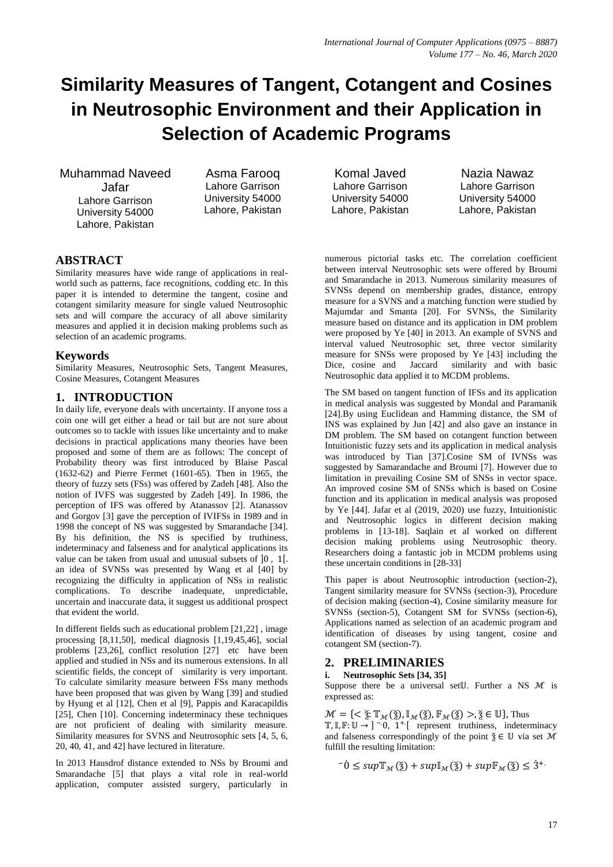# **Similarity Measures of Tangent, Cotangent and Cosines in Neutrosophic Environment and their Application in Selection of Academic Programs**

Muhammad Naveed Jafar Lahore Garrison University 54000 Lahore, Pakistan

Asma Farooq Lahore Garrison University 54000 Lahore, Pakistan

## **ABSTRACT**

Similarity measures have wide range of applications in realworld such as patterns, face recognitions, codding etc. In this paper it is intended to determine the tangent, cosine and cotangent similarity measure for single valued Neutrosophic sets and will compare the accuracy of all above similarity measures and applied it in decision making problems such as selection of an academic programs.

## **Keywords**

Similarity Measures, Neutrosophic Sets, Tangent Measures, Cosine Measures, Cotangent Measures

## **1. INTRODUCTION**

In daily life, everyone deals with uncertainty. If anyone toss a coin one will get either a head or tail but are not sure about outcomes so to tackle with issues like uncertainty and to make decisions in practical applications many theories have been proposed and some of them are as follows: The concept of Probability theory was first introduced by Blaise Pascal (1632-62) and Pierre Fermet (1601-65). Then in 1965, the theory of fuzzy sets (FSs) was offered by Zadeh [48]. Also the notion of IVFS was suggested by Zadeh [49]. In 1986, the perception of IFS was offered by Atanassov [2]. Atanassov and Gorgov [3] gave the perception of IVIFSs in 1989 and in 1998 the concept of NS was suggested by Smarandache [34]. By his definition, the NS is specified by truthiness, indeterminacy and falseness and for analytical applications its value can be taken from usual and unusual subsets of  $[0, 1]$ . an idea of SVNSs was presented by Wang et al [40] by recognizing the difficulty in application of NSs in realistic complications. To describe inadequate, unpredictable, uncertain and inaccurate data, it suggest us additional prospect that evident the world.

In different fields such as educational problem [21,22] , image processing [8,11,50], medical diagnosis [1,19,45,46], social problems [23,26], conflict resolution [27] etc have been applied and studied in NSs and its numerous extensions. In all scientific fields, the concept of similarity is very important. To calculate similarity measure between FSs many methods have been proposed that was given by Wang [39] and studied by Hyung et al [12], Chen et al [9], Pappis and Karacapildis [25], Chen [10]. Concerning indeterminacy these techniques are not proficient of dealing with similarity measure. Similarity measures for SVNS and Neutrosophic sets [4, 5, 6, 20, 40, 41, and 42] have lectured in literature.

In 2013 Hausdrof distance extended to NSs by Broumi and Smarandache [5] that plays a vital role in real-world application, computer assisted surgery, particularly in

Komal Javed Lahore Garrison University 54000 Lahore, Pakistan

Nazia Nawaz Lahore Garrison University 54000 Lahore, Pakistan

numerous pictorial tasks etc. The correlation coefficient between interval Neutrosophic sets were offered by Broumi and Smarandache in 2013. Numerous similarity measures of SVNSs depend on membership grades, distance, entropy measure for a SVNS and a matching function were studied by Majumdar and Smanta [20]. For SVNSs, the Similarity measure based on distance and its application in DM problem were proposed by Ye [40] in 2013. An example of SVNS and interval valued Neutrosophic set, three vector similarity measure for SNSs were proposed by Ye [43] including the Dice, cosine and Jaccard similarity and with basic similarity and with basic Neutrosophic data applied it to MCDM problems.

The SM based on tangent function of IFSs and its application in medical analysis was suggested by Mondal and Paramanik [24].By using Euclidean and Hamming distance, the SM of INS was explained by Jun [42] and also gave an instance in DM problem. The SM based on cotangent function between Intuitionistic fuzzy sets and its application in medical analysis was introduced by Tian [37].Cosine SM of IVNSs was suggested by Samarandache and Broumi [7]. However due to limitation in prevailing Cosine SM of SNSs in vector space. An improved cosine SM of SNSs which is based on Cosine function and its application in medical analysis was proposed by Ye [44]. Jafar et al (2019, 2020) use fuzzy, Intuitionistic and Neutrosophic logics in different decision making problems in [13-18]. Saqlain et al worked on different decision making problems using Neutrosophic theory. Researchers doing a fantastic job in MCDM problems using these uncertain conditions in [28-33]

This paper is about Neutrosophic introduction (section-2), Tangent similarity measure for SVNSs (section-3), Procedure of decision making (section-4), Cosine similarity measure for SVNSs (section-5), Cotangent SM for SVNSs (section-6), Applications named as selection of an academic program and identification of diseases by using tangent, cosine and cotangent SM (section-7).

## **2. PRELIMINARIES**

**i. Neutrosophic Sets [34, 35]**

Suppose there be a universal set U. Further a NS  $\mathcal M$  is expressed as:

 $\mathcal{M} = \{ \langle \xi : \mathbb{T}_{\mathcal{M}}(\xi), \mathbb{I}_{\mathcal{M}}(\xi), \mathbb{F}_{\mathcal{M}}(\xi) \rangle, \xi \in \mathbb{U} \}$ , Thus  $T, I, F: U \rightarrow ]-0, 1^+$  represent truthiness, indeterminacy and falseness correspondingly of the point  $\check{\zeta} \in \mathbb{U}$  via set  $\mathcal{M}$ fulfill the resulting limitation:

 $\bar{\mathcal{L}}$   $\leq$  sup  $\mathbb{T}_{\mathcal{M}}(\check{\mathfrak{Z}})$  + sup  $\mathbb{I}_{\mathcal{M}}(\check{\mathfrak{Z}})$  + sup  $\mathbb{F}_{\mathcal{M}}(\check{\mathfrak{Z}}) \leq \dot{\mathfrak{Z}}^{+1}$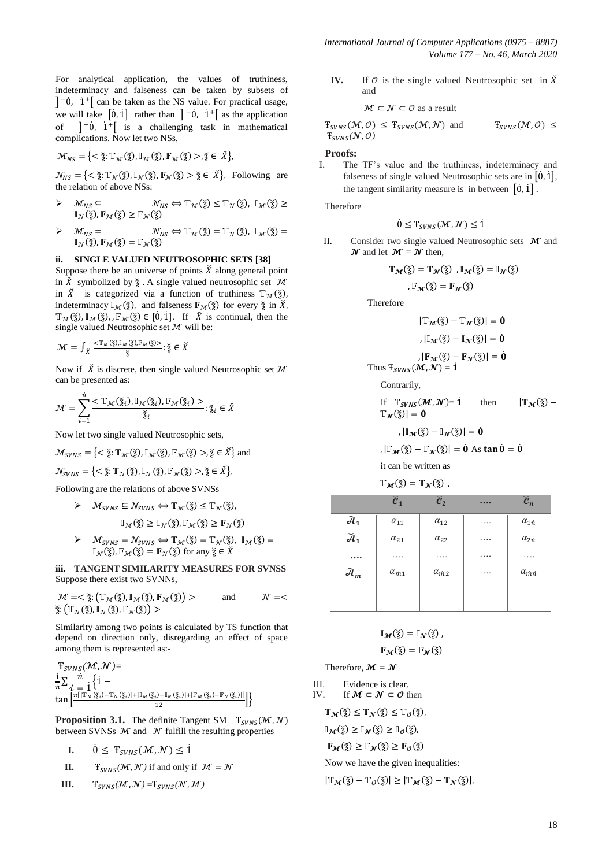For analytical application, the values of truthiness, indeterminacy and falseness can be taken by subsets of  $\vert \overline{c} \vert$   $\dot{\theta}$ ,  $\dot{\theta}$  +  $\vert$  can be taken as the NS value. For practical usage, we will take  $\begin{bmatrix} 0, 1 \end{bmatrix}$  rather than  $\begin{bmatrix} -0, 1 \end{bmatrix}$  as the application of  $\begin{bmatrix} -\dot{0} & \dot{1}^+ \end{bmatrix}$  is a challenging task in mathematical complications. Now let two NSs,

$$
\mathcal{M}_{NS} = \{ \langle \check{\Sigma} : \mathbb{T}_{\mathcal{M}}(\check{\Sigma}), \mathbb{I}_{\mathcal{M}}(\check{\Sigma}), \mathbb{F}_{\mathcal{M}}(\check{\Sigma}) \rangle, \check{\Sigma} \in \check{\Sigma} \},
$$

 $\mathcal{N}_{NS} = \{ \langle \xi : \mathbb{T}_{\mathcal{N}}(\xi), \mathbb{I}_{\mathcal{N}}(\xi), \mathbb{F}_{\mathcal{N}}(\xi) > \xi \in \check{X} \}$ , Following are the relation of above NSs:

- $\triangleright$   $\mathcal{M}_{NS} \subseteq$  $\mathcal{N}_{NS} \Longleftrightarrow \mathbb{T}_{\mathcal{M}}(\check{\mathbf{z}}) \leq \mathbb{T}_{\mathcal{N}}(\check{\mathbf{z}}), \mathbb{I}_{\mathcal{M}}(\check{\mathbf{z}}) \geq$  $\mathbb{I}_{\mathcal{N}}(\check{\mathtt{z}}), \mathbb{F}_{\mathcal{M}}(\check{\mathtt{z}}) \geq \mathbb{F}_{\mathcal{N}}(\check{\mathtt{z}})$
- $\mathcal{N}_{NS} \Longleftrightarrow \mathbb{T}_{\mathcal{M}}(\check{\check{\mathbf{z}}}) = \mathbb{T}_{\mathcal{N}}(\check{\check{\mathbf{z}}})$ ,  $\mathbb{I}_{\mathcal{M}}(\check{\check{\mathbf{z}}}) =$  $\triangleright \quad \mathcal{M}_{NS} =$  $\mathbb{I}_{\mathcal{N}}(\check{\mathfrak{z}}), \mathbb{F}_{\mathcal{M}}(\check{\mathfrak{z}}) = \mathbb{F}_{\mathcal{N}}(\check{\mathfrak{z}})$

#### **ii. SINGLE VALUED NEUTROSOPHIC SETS [38]**

Suppose there be an universe of points  $\check{X}$  along general point in  $\widetilde{X}$  symbolized by  $\xi$ . A single valued neutrosophic set  $\mathcal M$ in  $\check{X}$  is categorized via a function of truthiness  $\mathbb{T}_{M}(\check{z})$ , indeterminacy  $\mathbb{I}_{\mathcal{M}}(\check{\zeta})$ , and falseness  $\mathbb{F}_{\mathcal{M}}(\check{\zeta})$  for every  $\check{\zeta}$  in  $\check{X}$ ,  $\mathbb{T}_{\mathcal{M}}(\check{\check{z}}), \mathbb{I}_{\mathcal{M}}(\check{\check{z}}), \mathbb{F}_{\mathcal{M}}(\check{\check{z}}) \in [0,1].$  If  $\check{X}$  is continual, then the single valued Neutrosophic set  $M$  will be:

$$
\mathcal{M} = \int_{\breve{X}} \tfrac{<\mathbb{T}_{\mathcal{M}}(\breve{\check{z}}), \mathbb{I}_{\mathcal{M}}(\breve{\check{z}}), \mathbb{F}_{\mathcal{M}}(\breve{\check{z}})>}{\breve{\check{z}}} : \breve{\check{z}} \in \breve{X}
$$

Now if  $\check{X}$  is discrete, then single valued Neutrosophic set  $\mathcal M$ can be presented as:

$$
\mathcal{M} = \sum_{i=1}^{n} \frac{<\mathbb{T}_{\mathcal{M}}(\check{\mathbf{z}}_{i}), \mathbb{I}_{\mathcal{M}}(\check{\mathbf{z}}_{i}), \mathbb{F}_{\mathcal{M}}(\check{\mathbf{z}}_{i})>}{\check{\mathbf{z}}_{i}}; \check{\mathbf{z}}_{i} \in \check{\mathbf{X}}
$$

Now let two single valued Neutrosophic sets,

$$
\mathcal{M}_{SVNS} = \{ \langle \check{\mathbf{z}} : \mathbb{T}_{\mathcal{M}}(\check{\mathbf{z}}), \mathbb{I}_{\mathcal{M}}(\check{\mathbf{z}}), \mathbb{F}_{\mathcal{M}}(\check{\mathbf{z}}) \rangle, \check{\mathbf{z}} \in \check{\mathbf{X}} \} \text{ and }
$$

$$
\mathcal{N}_{SVNS} = \{ \langle \xi : \mathbb{T}_{\mathcal{N}}(\xi), \mathbb{I}_{\mathcal{N}}(\xi), \mathbb{F}_{\mathcal{N}}(\xi) \rangle, \xi \in \check{\mathcal{X}} \},
$$

Following are the relations of above SVNSs

$$
\triangleright \quad \mathcal{M}_{SVNS} \subseteq \mathcal{N}_{SVNS} \Longleftrightarrow \mathbb{T}_{\mathcal{M}}(\check{\mathbf{z}}) \leq \mathbb{T}_{\mathcal{N}}(\check{\mathbf{z}}),
$$

$$
\mathbb{I}_{\mathcal{M}}(\check{\mathbf{z}}) \geq \mathbb{I}_{\mathcal{N}}(\check{\mathbf{z}}), \mathbb{F}_{\mathcal{M}}(\check{\mathbf{z}}) \geq \mathbb{F}_{\mathcal{N}}(\check{\mathbf{z}})
$$

 $\vartriangleright \quad \mathcal{M}_{SVNS} = \mathcal{N}_{SVNS} \Longleftrightarrow \mathbb{T}_{\mathcal{M}}(\S) = \mathbb{T}_{\mathcal{N}}(\S), \ \mathbb{I}_{\mathcal{M}}(\S) =$  $\mathbb{I}_{\mathcal{N}}(\check{\check{\mathsf{z}}})$ ,  $\mathbb{F}_{\mathcal{M}}(\check{\check{\mathsf{z}}}) = \mathbb{F}_{\mathcal{N}}(\check{\check{\mathsf{z}}})$  for any  $\check{\check{\mathsf{z}}} \in \check{\check{X}}$ 

**iii. TANGENT SIMILARITY MEASURES FOR SVNSS** Suppose there exist two SVNNs,

$$
\mathcal{M} = \langle \xi: (\mathbb{T}_{\mathcal{M}}(\xi), \mathbb{I}_{\mathcal{M}}(\xi), \mathbb{F}_{\mathcal{M}}(\xi)) \rangle
$$
 and  $\mathcal{N} = \langle \xi: (\mathbb{T}_{\mathcal{N}}(\xi), \mathbb{I}_{\mathcal{N}}(\xi), \mathbb{F}_{\mathcal{N}}(\xi)) \rangle$ 

Similarity among two points is calculated by TS function that depend on direction only, disregarding an effect of space among them is represented as:-

$$
\mathcal{F}_{SVNS}(\mathcal{M}, \mathcal{N}) =
$$
\n
$$
\frac{\mathrm{i}}{n} \sum_{i} \frac{\hbar}{1 - \mathrm{t}} \left\{ 1 - \mathrm{t} \sum_{i} \frac{\mathrm{i}}{1 - \mathrm{t} \sum_{i} \left[ \frac{\pi |\mathbb{T}_{\mathcal{M}}(\tilde{\mathbf{x}}_{i}) - \mathbb{T}_{\mathcal{N}}(\tilde{\mathbf{x}}_{i})| + |\mathbb{T}_{\mathcal{M}}(\tilde{\mathbf{x}}_{i}) - \mathbb{T}_{\mathcal{N}}(\tilde{\mathbf{x}}_{i})| + |\mathbb{F}_{\mathcal{M}}(\tilde{\mathbf{x}}_{i}) - \mathbb{F}_{\mathcal{N}}(\tilde{\mathbf{x}}_{i})| \right] } \right\}
$$

**Proposition 3.1.** The definite Tangent SM  $T_{SVNS}(\mathcal{M}, \mathcal{N})$ between SVNSs  $\mathcal M$  and  $\mathcal N$  fulfill the resulting properties

$$
\mathbf{I}. \qquad 0 \leq \mathbf{T}_{SVNS}(\mathcal{M}, \mathcal{N}) \leq 1
$$

- **II. T**<sub>SVNS</sub>( $\mathcal{M}$ , $\mathcal{N}$ ) if and only if  $\mathcal{M} = \mathcal{N}$
- **III.**  $T_{SVNS}(\mathcal{M}, \mathcal{N}) = T_{SVNS}(\mathcal{N}, \mathcal{M})$

**IV.** If  $\theta$  is the single valued Neutrosophic set in  $\check{X}$ and

$$
\mathcal{M} \subset \mathcal{N} \subset \mathcal{O} \text{ as a result}
$$

 $T_{SVNS}(\mathcal{M}, \mathcal{O}) \leq T_{SVNS}(\mathcal{M}, \mathcal{N})$  and  $T_{SVNS}(\mathcal{M}, \mathcal{O}) \leq$  $T_{\text{CVMC}}(\mathcal{N}, \mathcal{O})$ 

#### **Proofs:**

I. The TF's value and the truthiness, indeterminacy and falseness of single valued Neutrosophic sets are in  $[0, 1]$ , the tangent similarity measure is in between  $[0,1]$ .

Therefore

$$
0 \leq T_{SVNS}(\mathcal{M}, \mathcal{N}) \leq 1
$$

II. Consider two single valued Neutrosophic sets  $\mathcal M$  and  $\mathbfcal{N}}$  and let  $\mathbfcal{M} = \mathbfcal{N}}$  then,

$$
\mathbb{T}_{\mathcal{M}}(\check{\mathbf{z}}) = \mathbb{T}_{\mathcal{N}}(\check{\mathbf{z}}), \mathbb{I}_{\mathcal{M}}(\check{\mathbf{z}}) = \mathbb{I}_{\mathcal{N}}(\check{\mathbf{z}})
$$
  
,  $\mathbb{F}_{\mathcal{M}}(\check{\mathbf{z}}) = \mathbb{F}_{\mathcal{N}}(\check{\mathbf{z}})$ 

Therefore

$$
|\mathbb{T}_{\mathcal{M}}(\check{z}) - \mathbb{T}_{\mathcal{N}}(\check{z})| = \dot{0}
$$

$$
, |\mathbb{I}_{\mathcal{M}}(\check{z}) - \mathbb{I}_{\mathcal{N}}(\check{z})| = \dot{0}
$$

$$
, |\mathbb{F}_{\mathcal{M}}(\check{z}) - \mathbb{F}_{\mathcal{N}}(\check{z})| = \dot{0}
$$
Thus  $\mathbb{T}_{\mathcal{S}VNS}(\mathcal{M}, \mathcal{N}) = \dot{1}$ 

Contrarily,

If 
$$
\mathbf{T}_{SVNS}(\mathcal{M}, \mathcal{N}) = \mathbf{1}
$$
 then  $|\mathbf{T}_{\mathcal{M}}(\check{\mathbf{2}}) - \mathbf{T}_{\mathcal{N}}(\check{\mathbf{2}})| = \mathbf{0}$ 

$$
,\left|\mathbb{I}_{\mathcal{M}}(\check{\mathbf{z}})-\mathbb{I}_{\mathcal{N}}(\check{\mathbf{z}})\right|=\dot{\mathbf{0}}
$$

 $|\mathbb{F}_{M}(\check{\mathbf{x}})-\mathbb{F}_{N}(\check{\mathbf{x}})|=\dot{\mathbf{0}}$  As tan  $\dot{\mathbf{0}}=\dot{\mathbf{0}}$ 

it can be written as

$$
\mathbb{T}_{\mathcal{M}}(\check{\mathfrak{z}})=\mathbb{T}_{\mathcal{N}}(\check{\mathfrak{z}})
$$

|                           | $\widecheck{\boldsymbol{c}}_{\boldsymbol{1}}$ | $\widecheck{c}_2$ |   | $\check{c}_n$             |
|---------------------------|-----------------------------------------------|-------------------|---|---------------------------|
| $\breve{\mathcal{A}}_1$   | $\alpha_{11}$                                 | $\alpha_{12}$     | . | $\alpha_{1n}$             |
| $\breve{\mathcal{A}}_1$   | $\alpha_{21}$                                 | $\alpha_{22}$     | . | $\alpha_{2n}$             |
|                           | .                                             | .                 | . | .                         |
| $\breve{\mathcal{A}}_{m}$ | $\alpha_{m1}$                                 | $\alpha_{m2}$     | . | $\alpha_{\dot{m}\dot{n}}$ |
|                           |                                               |                   |   |                           |

$$
\mathbb{I}_{\mathcal{M}}(\check{\check{\mathbf{z}}}) = \mathbb{I}_{\mathcal{N}}(\check{\check{\mathbf{z}}}),
$$
  

$$
\mathbb{F}_{\mathcal{M}}(\check{\check{\mathbf{z}}}) = \mathbb{F}_{\mathcal{N}}(\check{\check{\mathbf{z}}})
$$

Therefore,  $\mathbf{M} = \mathbf{N}$ 

III. Evidence is clear. IV. If  $M \subset N \subset \mathcal{O}$  then

$$
\mathbb{T}_{\mathcal{M}}(\check{\mathbf{z}}) \leq \mathbb{T}_{\mathcal{N}}(\check{\mathbf{z}}) \leq \mathbb{T}_{\mathcal{O}}(\check{\mathbf{z}})
$$

$$
\mathbb{I}_{\mathcal{M}}(\check{\mathbf{z}}) \geq \mathbb{I}_{\mathcal{N}}(\check{\mathbf{z}}) \geq \mathbb{I}_{\mathcal{O}}(\check{\mathbf{z}}),
$$

$$
\mathbb{F}_\mathcal{M}(\S) \geq \mathbb{F}_\mathcal{N}(\S) \geq \mathbb{F}_\mathcal{O}(\S)
$$

Now we have the given inequalities:

 $|\mathbb{T}_M(\check{z}) - \mathbb{T}_0(\check{z})| \geq |\mathbb{T}_M(\check{z}) - \mathbb{T}_N(\check{z})|$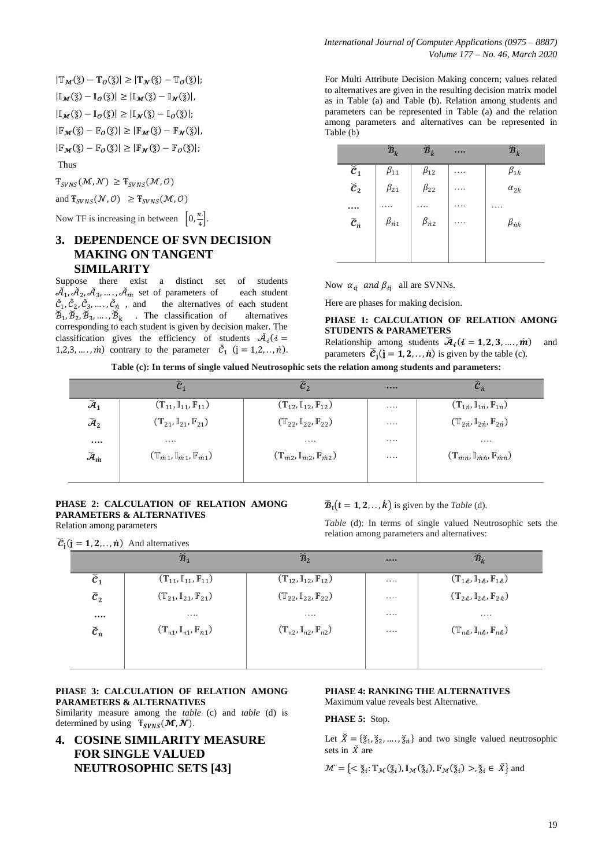$|\mathbb{T}_{\mathcal{M}}(\check{z}) - \mathbb{T}_{\mathcal{O}}(\check{z})| \geq |\mathbb{T}_{\mathcal{N}}(\check{z}) - \mathbb{T}_{\mathcal{O}}(\check{z})|;$  $|\mathbb{I}_{M}(\check{\mathbf{x}})-\mathbb{I}_{0}(\check{\mathbf{x}})| \geq |\mathbb{I}_{M}(\check{\mathbf{x}})-\mathbb{I}_{N}(\check{\mathbf{x}})|,$  $|\mathbb{I}_{\mathcal{M}}(\check{\mathbf{x}})-\mathbb{I}_{\mathcal{O}}(\check{\mathbf{x}})| \geq |\mathbb{I}_{\mathcal{N}}(\check{\mathbf{x}})-\mathbb{I}_{\mathcal{O}}(\check{\mathbf{x}})|;$  $|\mathbb{F}_{M}(\check{\mathbf{x}})-\mathbb{F}_{0}(\check{\mathbf{x}})| \geq |\mathbb{F}_{M}(\check{\mathbf{x}})-\mathbb{F}_{N}(\check{\mathbf{x}})|$  $|\mathbb{F}_{M}(\check{\mathbf{x}})-\mathbb{F}_{0}(\check{\mathbf{x}})| \geq |\mathbb{F}_{N}(\check{\mathbf{x}})-\mathbb{F}_{0}(\check{\mathbf{x}})|;$ Thus

 $T_{SVNS}(\mathcal{M}, \mathcal{N}) \geq T_{SVNS}(\mathcal{M}, \mathcal{O})$ 

and  $T_{SVNS}(\mathcal{N}, \mathcal{O}) \geq T_{SVNS}(\mathcal{M}, \mathcal{O})$ 

Now TF is increasing in between  $\left[0, \frac{\pi}{4}\right]$  $\frac{n}{4}$ .

## **3. DEPENDENCE OF SVN DECISION MAKING ON TANGENT SIMILARITY**

Suppose there exist a distinct set of students  $\check{A}_1, \check{A}_2, \check{A}_3, \ldots, \check{A}_m$  set of parameters of each student  $\check{C}_1, \check{C}_2, \check{C}_3, \ldots, \check{C}_n$ , and the alternatives of each student  $\widetilde{\mathcal{B}}_1$ ,  $\widetilde{\mathcal{B}}_2$ ,  $\widetilde{\mathcal{B}}_3$ , ...,  $\widetilde{\mathcal{B}}_k$  . The classification of alternatives corresponding to each student is given by decision maker. The classification gives the efficiency of students  $\tilde{\mathcal{A}}_i$ 1,2,3, ..., *m*) contrary to the parameter  $\check{c}_1$  (

For Multi Attribute Decision Making concern; values related to alternatives are given in the resulting decision matrix model as in Table (a) and Table (b). Relation among students and parameters can be represented in Table (a) and the relation among parameters and alternatives can be represented in Table (b)

|                         | $\widecheck{\bm{B}}_k$ | $\widecheck{\mathcal{B}}_k$ |   | $\widecheck{\bm{B}}_k$ |
|-------------------------|------------------------|-----------------------------|---|------------------------|
| $\check{c}_1$           | $\beta_{11}$           | $\beta_{12}$                |   | $\beta_{1k}$           |
| $\check{\mathcal{C}}_2$ | $\beta_{21}$           | $\beta_{22}$                | . | $\alpha_{2k}$          |
|                         |                        |                             |   |                        |
| $\check{c}_n$           | $\beta_{n1}$           | $\beta_{n2}$                | . | $\beta_{nk}$           |
|                         |                        |                             |   |                        |

Now  $\alpha_{i\textbf{i}}$  and  $\beta_{i\textbf{i}}$  all are SVNNs.

Here are phases for making decision.

#### **PHASE 1: CALCULATION OF RELATION AMONG STUDENTS & PARAMETERS**

Relationship among students  $\mathcal{A}_{i}$  ( $i = 1, 2, 3, ..., m$ ) and parameters  $\check{c}_i$  (**j** = **1**, **2**, ..., **n**) is given by the table (c).

**Table (c): In terms of single valued Neutrosophic sets the relation among students and parameters:**

|                             | $\check{\mathcal{C}}_1$                               | $\boldsymbol{\breve{c}}_2$                            |          | $\check{c}_n$                                                                           |
|-----------------------------|-------------------------------------------------------|-------------------------------------------------------|----------|-----------------------------------------------------------------------------------------|
| $\breve{\mathcal{A}}_1$     | $(\mathbb{T}_{11}, \mathbb{I}_{11}, \mathbb{F}_{11})$ | $(\mathbb{T}_{12}, \mathbb{I}_{12}, \mathbb{F}_{12})$ | $\cdots$ | $(\mathbb{T}_{1n}, \mathbb{I}_{1n}, \mathbb{F}_{1n})$                                   |
| $\widecheck{\mathcal{A}}_2$ | $(\mathbb{T}_{21}, \mathbb{I}_{21}, \mathbb{F}_{21})$ | $(\mathbb{T}_{22}, \mathbb{I}_{22}, \mathbb{F}_{22})$ | $\cdots$ | $(\mathbb{T}_{2n}, \mathbb{I}_{2n}, \mathbb{F}_{2n})$                                   |
| $\cdots$                    | $\cdots$                                              | $\cdots$                                              | $\cdots$ | $\cdots$                                                                                |
| $\breve{\mathcal{A}}_{m}$   | $(\mathbb{T}_{m1}, \mathbb{I}_{m1}, \mathbb{F}_{m1})$ | $(\mathbb{T}_{m2},\mathbb{I}_{m2},\mathbb{F}_{m2})$   | $\cdots$ | $(\mathbb{T}_{\dot{m}\dot{n}},\mathbb{I}_{\dot{m}\dot{n}},\mathbb{F}_{\dot{m}\dot{n}})$ |
|                             |                                                       |                                                       |          |                                                                                         |

#### **PHASE 2: CALCULATION OF RELATION AMONG PARAMETERS & ALTERNATIVES** Relation among parameters

 $\check{C}_i$ ( $j = 1, 2, \ldots, \hat{n}$ ) And alternatives

 $\mathbf{\check{B}}_t$  (**t** = **1**, **2**, ..., **k**) is given by the *Table* (d).

*Table* (d): In terms of single valued Neutrosophic sets the relation among parameters and alternatives:

|                         | $\check{\mathcal{B}}_1$                                                   | $\mathbb{Z}_2$                                        |          | $\widecheck{\bm B}_{\dot k}$                                                                                                         |
|-------------------------|---------------------------------------------------------------------------|-------------------------------------------------------|----------|--------------------------------------------------------------------------------------------------------------------------------------|
| $\check{\mathcal{C}}_1$ | $(\mathbb{T}_{11}, \mathbb{I}_{11}, \mathbb{F}_{11})$                     | $(\mathbb{T}_{12}, \mathbb{I}_{12}, \mathbb{F}_{12})$ | .        | $(\mathbb{T}_{1k},\mathbb{I}_{1k},\mathbb{F}_{1k})$                                                                                  |
| $\mathfrak{C}_2$        | $(\mathbb{T}_{21}, \mathbb{I}_{21}, \mathbb{F}_{21})$                     | $(\mathbb{T}_{22}, \mathbb{I}_{22}, \mathbb{F}_{22})$ | $\cdots$ | $(\mathbb{T}_{2\ell}, \mathbb{I}_{2\ell}, \mathbb{F}_{2\ell})$                                                                       |
|                         | $\cdots$                                                                  | $\cdots$                                              | $\cdots$ | $\cdots$                                                                                                                             |
| $\check{c}_n$           | $(\mathbb{T}_{\mathfrak{n}1},\mathbb{I}_{\mathfrak{n}1},\mathbb{F}_{n1})$ | $(\mathbb{T}_{n2},\mathbb{I}_{n2},\mathbb{F}_{n2})$   | .        | $(\mathbb{T}_{\mathfrak{n}\hat{\mathcal{R}}},\mathbb{I}_{\mathfrak{n}\hat{\mathcal{R}}},\mathbb{F}_{\mathfrak{n}\hat{\mathcal{R}}})$ |
|                         |                                                                           |                                                       |          |                                                                                                                                      |

#### **PHASE 3: CALCULATION OF RELATION AMONG PARAMETERS & ALTERNATIVES**

Similarity measure among the *table* (c) and *table* (d) is determined by using  $T_{SVNS}(\mathcal{M}, \mathcal{N})$ .

**4. COSINE SIMILARITY MEASURE FOR SINGLE VALUED NEUTROSOPHIC SETS [43]**

#### **PHASE 4: RANKING THE ALTERNATIVES** Maximum value reveals best Alternative.

**PHASE 5:** Stop.

Let  $\check{X} = \{\check{\varepsilon}_1, \check{\varepsilon}_2, \ldots, \check{\varepsilon}_n\}$  and two single valued neutrosophic sets in  $\check{X}$  are

 $\mathcal{M} = \{ \langle \xi_i : \mathbb{T}_{\mathcal{M}}(\xi_i), \mathbb{I}_{\mathcal{M}}(\xi_i), \mathbb{F}_{\mathcal{M}}(\xi_i) \rangle, \xi_i \in \check{X} \}$  and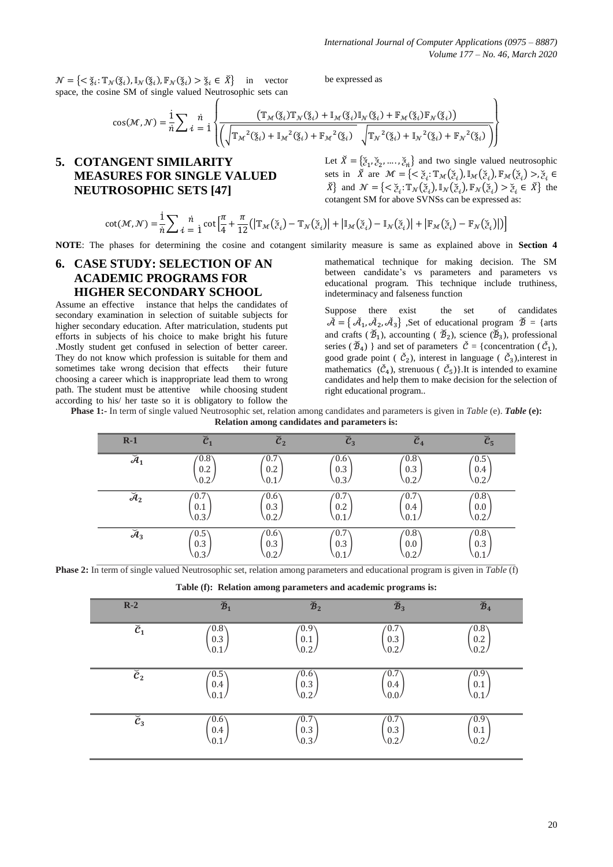$\mathcal{N} = \{ \langle \xi_i : \mathbb{T}_{\mathcal{N}}(\xi_i), \mathbb{I}_{\mathcal{N}}(\xi_i), \mathbb{F}_{\mathcal{N}}(\xi_i) > \xi_i \in \check{X} \}$  in vector space, the cosine SM of single valued Neutrosophic sets can

be expressed as

$$
\cos(\mathcal{M},\mathcal{N}) = \frac{1}{n} \sum_{i} \frac{n}{i} \sqrt{\frac{\left(\mathbb{T}_{\mathcal{M}}(\check{\mathbf{z}}_{i})\mathbb{T}_{\mathcal{N}}(\check{\mathbf{z}}_{i}) + \mathbb{I}_{\mathcal{M}}(\check{\mathbf{z}}_{i})\mathbb{I}_{\mathcal{N}}(\check{\mathbf{z}}_{i}) + \mathbb{F}_{\mathcal{M}}(\check{\mathbf{z}}_{i})\mathbb{F}_{\mathcal{N}}(\check{\mathbf{z}}_{i})\right)}}{\left(\sqrt{\mathbb{T}_{\mathcal{M}}^{2}(\check{\mathbf{z}}_{i}) + \mathbb{I}_{\mathcal{M}}^{2}(\check{\mathbf{z}}_{i}) + \mathbb{F}_{\mathcal{M}}^{2}(\check{\mathbf{z}}_{i})} \sqrt{\mathbb{T}_{\mathcal{N}}^{2}(\check{\mathbf{z}}_{i}) + \mathbb{I}_{\mathcal{N}}^{2}(\check{\mathbf{z}}_{i}) + \mathbb{F}_{\mathcal{N}}^{2}(\check{\mathbf{z}}_{i})}\right)}}\right)
$$

## **5. COTANGENT SIMILARITY MEASURES FOR SINGLE VALUED NEUTROSOPHIC SETS [47]**

Let  $\check{X} = \{ \check{z}_1, \check{z}_2, \dots, \check{z}_n \}$  and two single valued neutrosophic sets in  $\check{X}$  are  $\mathcal{M} = \{ \langle \check{z}_i : \mathbb{T}_{\mathcal{M}}(\check{z}_i), \mathbb{I}_{\mathcal{M}}(\check{z}_i), \mathbb{F}_{\mathcal{M}}(\check{z}_i) \rangle \}$ ,  $\check{z}_i \in$  $\check{X}$ } and  $\mathcal{N} = \{ \langle \check{z}_i : \mathbb{T}_{\mathcal{N}}(\check{z}_i), \mathbb{I}_{\mathcal{N}}(\check{z}_i), \mathbb{F}_{\mathcal{N}}(\check{z}_i) \rangle \geq \check{z}_i \in \check{X} \}$  the cotangent SM for above SVNSs can be expressed as:

$$
\cot(\mathcal{M}, \mathcal{N}) = \frac{1}{n} \sum_{i=1}^{n} \frac{n}{i} \cot\left[\frac{\pi}{4} + \frac{\pi}{12} \left( \left| \mathbb{T}_{\mathcal{M}}(\check{z}_i) - \mathbb{T}_{\mathcal{N}}(\check{z}_i) \right| + \left| \mathbb{I}_{\mathcal{M}}(\check{z}_i) - \mathbb{I}_{\mathcal{N}}(\check{z}_i) \right| + \left| \mathbb{F}_{\mathcal{M}}(\check{z}_i) - \mathbb{F}_{\mathcal{N}}(\check{z}_i) \right| \right) \right]
$$

**NOTE**: The phases for determining the cosine and cotangent similarity measure is same as explained above in **Section 4**

## **6. CASE STUDY: SELECTION OF AN ACADEMIC PROGRAMS FOR HIGHER SECONDARY SCHOOL**

Assume an effective instance that helps the candidates of secondary examination in selection of suitable subjects for higher secondary education. After matriculation, students put efforts in subjects of his choice to make bright his future .Mostly student get confused in selection of better career. They do not know which profession is suitable for them and sometimes take wrong decision that effects their future choosing a career which is inappropriate lead them to wrong path. The student must be attentive while choosing student according to his/ her taste so it is obligatory to follow the

mathematical technique for making decision. The SM between candidate's vs parameters and parameters vs educational program. This technique include truthiness, indeterminacy and falseness function

Suppose there exist the set of candidates  $\tilde{\mathcal{A}} = \{ \tilde{\mathcal{A}}_1, \tilde{\mathcal{A}}_2, \tilde{\mathcal{A}}_3 \}$ , Set of educational program  $\tilde{\mathcal{B}} = \{ \text{arts} \}$ and crafts ( $\mathcal{B}_1$ ), accounting ( $\mathcal{B}_2$ ), science ( $\mathcal{B}_3$ ), professional series ( $\widetilde{B}_4$ ) } and set of parameters  $\widetilde{C} = \{$  concentration ( $\widetilde{C}_1$ ), good grade point ( $\check{\mathcal{C}}_2$ ), interest in language ( $\check{\mathcal{C}}_3$ ), interest in mathematics  $(\check{C}_4)$ , strenuous  $(\check{C}_5)$ . It is intended to examine candidates and help them to make decision for the selection of right educational program..

**Phase 1:-** In term of single valued Neutrosophic set, relation among candidates and parameters is given in *Table* (e). *Table* **(e): Relation among candidates and parameters is:**

| $R-1$                              | $\check{c}_1$       | $\check{\mathcal{C}}_2$ | $\check{\mathcal{C}}_3$       | $\widecheck{\bm{c}}_{\bm{4}}$ | $\check{c}_5$        |
|------------------------------------|---------------------|-------------------------|-------------------------------|-------------------------------|----------------------|
| $\breve{\mathcal{A}}_1$            | (0.8)<br>0.2<br>0.2 | $-0.7$<br>0.2           | (0.6)<br>0.3<br>0.3           | (0.8)<br>0.3<br>0.2.          | (0.5)<br>0.4<br>0.2. |
| $\mathcal{A}_2$                    | 0.7<br>0.1<br>0.3.  | (0.6)<br>0.3<br>ሰ ን     | 0.7<br>0.2                    | 0.7<br>0.4                    | (0.8)<br>0.0<br>0.2  |
| $\overline{\check{\mathcal{A}}_3}$ | (0.5)<br>0.3<br>0.3 | (0.6)<br>0.3<br>ΩO      | $-0.7$<br>0.3<br>$^{\circ}$ 1 | (0.8)<br>0.0<br>02            | (0.8)<br>0.3<br>0.1  |

**Phase 2:** In term of single valued Neutrosophic set, relation among parameters and educational program is given in *Table* (f)

| $R-2$                              | $\widecheck{\mathcal{B}}_1$ | $\widecheck{\mathcal{B}}_2$ | $\widecheck{\mathcal{B}}_3$ | $\widecheck{\mathcal{B}}_4$ |
|------------------------------------|-----------------------------|-----------------------------|-----------------------------|-----------------------------|
| $\check{\mathcal{C}}_1$            | (0.8)                       | (0.9)                       | (0.7)                       | (0.8)                       |
|                                    | 0.3                         | 0.1                         | 0.3                         | 0.2                         |
|                                    | 0.1                         | 0.2                         | 0.2                         | 0.2                         |
| $\widecheck{\mathcal{C}}_2$        | (0.5)                       | (0.6)                       | 0.7                         | (0.9)                       |
|                                    | 0.4                         | 0.3                         | 0.4                         | 0.1                         |
|                                    | $\sqrt{0.1}$                | 0.2                         | (0.0)                       | 0.1                         |
| $\overline{\check{\mathcal{C}}_3}$ | (0.6)                       | (0.7)                       | $^{\prime}0.7$              | (0.9)                       |
|                                    | 0.4                         | 0.3                         | 0.3                         | 0.1                         |
|                                    | 0.1/                        | 0.3                         | 0.2                         | 0.2                         |

**Table (f): Relation among parameters and academic programs is:**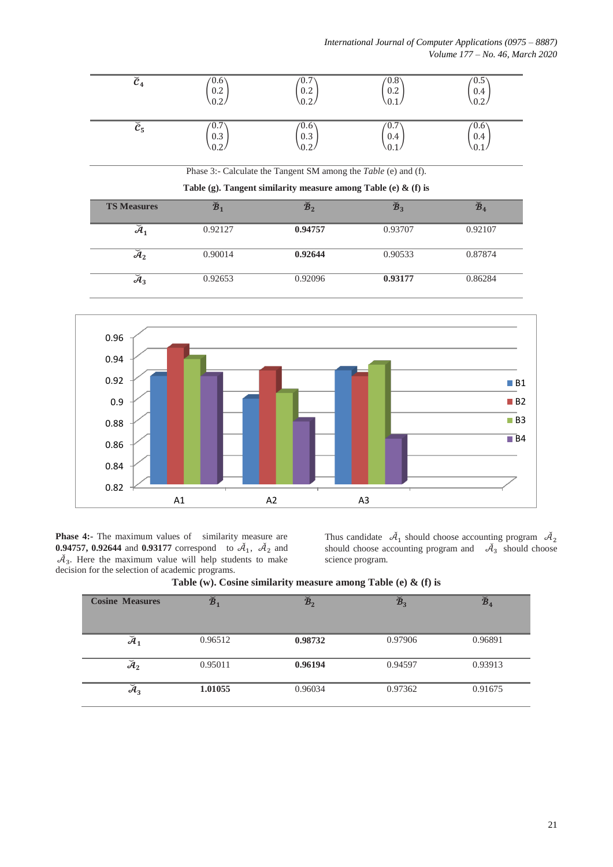| $\widetilde{c}_4$       | $0.6^{\circ}$<br>0.2<br>0.2. | 0.7<br>0.2<br>$^{\backprime}$ .2.                                      | $^{\prime}0.8^{\prime}$<br>0.2<br>0 <sub>1</sub> | $^{\prime}0.5^{\cdot}$<br>0.4 |
|-------------------------|------------------------------|------------------------------------------------------------------------|--------------------------------------------------|-------------------------------|
| $\check{\mathcal{C}}_5$ | $0.7^{\circ}$<br>0.3<br>0.2. | $^{\prime}0.6^{\prime}$<br>0.3<br>0.2.                                 | ′0.7<br>0.4<br>.0.1                              | (0.6)<br>0.4                  |
|                         |                              | Phase 3:- Calculate the Tangent SM among the <i>Table</i> (e) and (f). |                                                  |                               |
|                         |                              | Table (g). Tangent similarity measure among Table (e) $\&$ (f) is      |                                                  |                               |
| <b>TS Measures</b>      | $\widetilde{\mathcal{B}}_1$  | $\widecheck{\mathcal{B}}_2$                                            | $\widetilde{\mathcal{B}}_3$                      | $\mathbb{Z}_4$                |
| $\check{\mathcal{A}}_1$ | 0.92127                      | 0.94757                                                                | 0.93707                                          | 0.92107                       |

| $\check{ }$<br>$\mathcal{H}_2$ | 0.90014 | 0.92644 | 0.90533 | 0.87874 |
|--------------------------------|---------|---------|---------|---------|
| $\mathcal{M}_3$                | 0.92653 | 0.92096 | 0.93177 | 0.86284 |



**Phase 4:-** The maximum values of similarity measure are **0.94757, 0.92644** and 0.93177 correspond to  $A_1$ ,  $A_2$  and  $\tilde{\mathcal{A}}_3$ . Here the maximum value will help students to make decision for the selection of academic programs.

Thus candidate  $\tilde{A}_1$  should choose accounting program  $\tilde{A}_2$  should choose accounting program and  $\tilde{A}_3$  should choose science program.

| <b>Cosine Measures</b>  | $\widecheck{\textbf{B}}_1$ | $\widecheck{\mathcal{B}}_2$ | $\widecheck{\mathcal{B}}_3$ | $\widetilde{\mathcal{B}}_4$ |
|-------------------------|----------------------------|-----------------------------|-----------------------------|-----------------------------|
| $\breve{\mathcal{A}}_1$ | 0.96512                    | 0.98732                     | 0.97906                     | 0.96891                     |
| $\mathcal{A}_2$         | 0.95011                    | 0.96194                     | 0.94597                     | 0.93913                     |
| $\mathcal{A}_3$         | 1.01055                    | 0.96034                     | 0.97362                     | 0.91675                     |

### **Table (w). Cosine similarity measure among Table (e) & (f) is**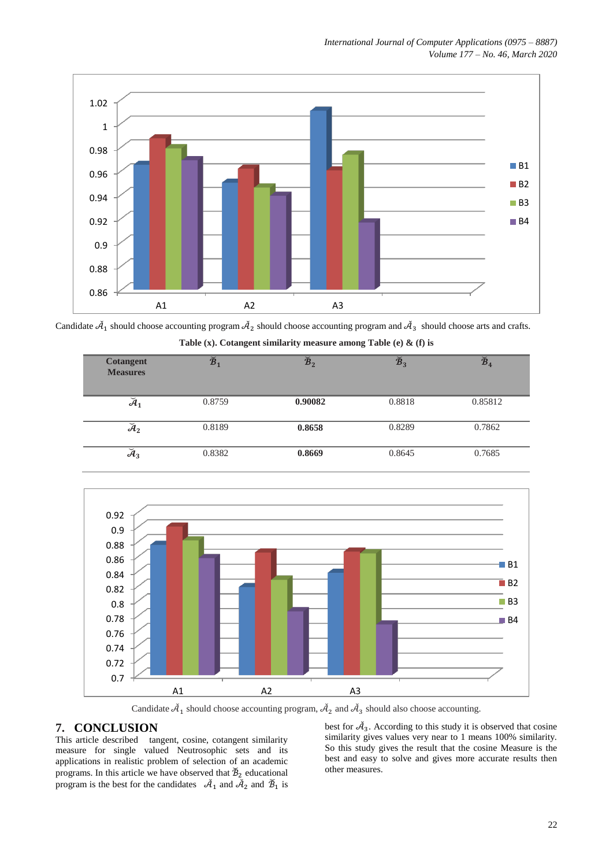

Candidate  $\tilde{A}_1$  should choose accounting program  $\tilde{A}_2$  should choose accounting program and  $\tilde{A}_3$  should choose arts and crafts.

| <b>Cotangent</b><br><b>Measures</b> | $\widecheck{\mathcal{B}}_1$ | $\widecheck{\mathcal{B}}_2$ | $\widecheck{\mathcal{B}}_3$ | $\widecheck{\mathcal{B}}_4$ |
|-------------------------------------|-----------------------------|-----------------------------|-----------------------------|-----------------------------|
| $\breve{\mathcal{A}}_1$             | 0.8759                      | 0.90082                     | 0.8818                      | 0.85812                     |
| $\mathcal{A}_2$                     | 0.8189                      | 0.8658                      | 0.8289                      | 0.7862                      |
| $\mathcal{A}_3$                     | 0.8382                      | 0.8669                      | 0.8645                      | 0.7685                      |

**Table (x). Cotangent similarity measure among Table (e) & (f) is**



Candidate  $\tilde{\mathcal{A}}_1$  should choose accounting program,  $\tilde{\mathcal{A}}_2$  and  $\tilde{\mathcal{A}}_3$  should also choose accounting.

## **7. CONCLUSION**

This article described tangent, cosine, cotangent similarity measure for single valued Neutrosophic sets and its applications in realistic problem of selection of an academic programs. In this article we have observed that  $\mathcal{B}_2$  educational program is the best for the candidates  $\tilde{A}_1$  and  $\tilde{A}_2$  and  $\tilde{B}_1$  is

best for  $\mathcal{A}_3$ . According to this study it is observed that cosine similarity gives values very near to 1 means 100% similarity. So this study gives the result that the cosine Measure is the best and easy to solve and gives more accurate results then other measures.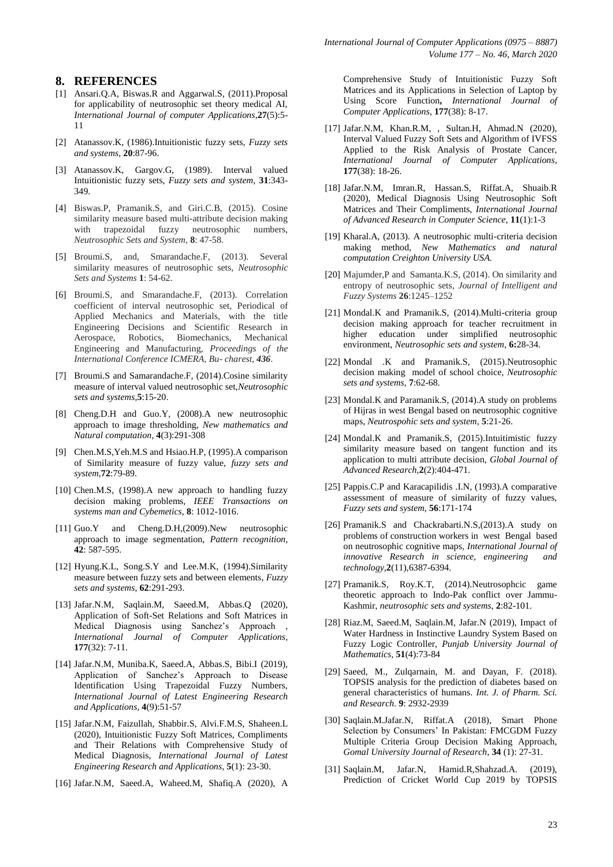#### **8. REFERENCES**

- [1] Ansari.Q.A, Biswas.R and Aggarwal.S, (2011).Proposal for applicability of neutrosophic set theory medical AI, *International Journal of computer Applications*,**27**(5):5- 11
- [2] Atanassov.K, (1986).Intuitionistic fuzzy sets, *Fuzzy sets and systems*, **20**:87-96.
- [3] Atanassov.K, Gargov.G, (1989). Interval valued Intuitionistic fuzzy sets, *Fuzzy sets and system*, **31**:343- 349.
- [4] Biswas.P, Pramanik.S, and Giri.C.B, (2015). Cosine similarity measure based multi-attribute decision making with trapezoidal fuzzy neutrosophic numbers, *Neutrosophic Sets and System*, **8**: 47-58.
- [5] Broumi.S, and, Smarandache.F, (2013). Several similarity measures of neutrosophic sets, *Neutrosophic Sets and Systems* **1**: 54-62.
- [6] Broumi.S, and Smarandache.F, (2013). Correlation coefficient of interval neutrosophic set, Periodical of Applied Mechanics and Materials, with the title Engineering Decisions and Scientific Research in Aerospace, Robotics, Biomechanics, Mechanical Engineering and Manufacturing*, Proceedings of the International Conference ICMERA, Bu- charest, 436*.
- [7] Broumi.S and Samarandache.F, (2014).Cosine similarity measure of interval valued neutrosophic set,*Neutrosophic sets and systems*,**5**:15-20.
- [8] Cheng.D.H and Guo.Y, (2008).A new neutrosophic approach to image thresholding*, New mathematics and Natural computation,* **4**(3):291-308
- [9] Chen.M.S,Yeh.M.S and Hsiao.H.P, (1995).A comparison of Similarity measure of fuzzy value, *fuzzy sets and system*,**72**:79-89.
- [10] Chen.M.S, (1998).A new approach to handling fuzzy decision making problems, *IEEE Transactions on systems man and Cybemetics*, **8**: 1012-1016.
- [11] Guo.Y and Cheng.D.H,(2009).New neutrosophic approach to image segmentation, *Pattern recognition*, **42**: 587-595.
- [12] Hyung.K.L, Song.S.Y and Lee.M.K, (1994).Similarity measure between fuzzy sets and between elements*, Fuzzy sets and systems*, **62**:291-293.
- [13] Jafar.N.M, Saqlain.M, Saeed.M, Abbas.Q (2020), Application of Soft-Set Relations and Soft Matrices in Medical Diagnosis using Sanchez's Approach , *International Journal of Computer Applications*, **177**(32): 7-11.
- [14] Jafar.N.M, Muniba.K, Saeed.A, Abbas.S, Bibi.I (2019), Application of Sanchez's Approach to Disease Identification Using Trapezoidal Fuzzy Numbers, *International Journal of Latest Engineering Research and Applications,* **4**(9):51-57
- [15] Jafar.N.M, Faizullah, Shabbir.S, Alvi.F.M.S, Shaheen.L (2020), Intuitionistic Fuzzy Soft Matrices, Compliments and Their Relations with Comprehensive Study of Medical Diagnosis, *International Journal of Latest Engineering Research and Applications*, **5**(1): 23-30.
- [16] Jafar.N.M, Saeed.A, Waheed.M, Shafiq.A (2020), A

Comprehensive Study of Intuitionistic Fuzzy Soft Matrices and its Applications in Selection of Laptop by Using Score Function**,** *International Journal of Computer Applications*, **177**(38): 8-17.

- [17] Jafar.N.M, Khan.R.M, , Sultan.H, Ahmad.N (2020), Interval Valued Fuzzy Soft Sets and Algorithm of IVFSS Applied to the Risk Analysis of Prostate Cancer, *International Journal of Computer Applications*, **177**(38): 18-26.
- [18] Jafar.N.M, Imran.R, Hassan.S, Riffat.A, Shuaib.R (2020), Medical Diagnosis Using Neutrosophic Soft Matrices and Their Compliments, *International Journal of Advanced Research in Computer Science*, **11**(1):1-3
- [19] Kharal.A, (2013). A neutrosophic multi-criteria decision making method*, New Mathematics and natural computation Creighton University USA.*
- [20] Majumder,P and Samanta.K.S, (2014). On similarity and entropy of neutrosophic sets*, Journal of Intelligent and Fuzzy Systems* **26**:1245–1252
- [21] Mondal.K and Pramanik.S, (2014).Multi-criteria group decision making approach for teacher recruitment in higher education under simplified neutrosophic environment, *Neutrosophic sets and system*, **6:**28-34.
- [22] Mondal .K and Pramanik.S, (2015).Neutrosophic decision making model of school choice, *Neutrosophic sets and systems*, **7**:62-68.
- [23] Mondal.K and Paramanik.S, (2014).A study on problems of Hijras in west Bengal based on neutrosophic cognitive maps*, Neutrospohic sets and system*, **5**:21-26.
- [24] Mondal.K and Pramanik.S, (2015).Intuitimistic fuzzy similarity measure based on tangent function and its application to multi attribute decision, *Global Journal of Advanced Research*,**2**(2):404-471.
- [25] Pappis.C.P and Karacapilidis .I.N, (1993).A comparative assessment of measure of similarity of fuzzy values, *Fuzzy sets and system*, **56**:171-174
- [26] Pramanik.S and Chackrabarti.N.S,(2013).A study on problems of construction workers in west Bengal based on neutrosophic cognitive maps*, International Journal of innovative Research in science, engineering and technology,***2**(11),6387-6394.
- [27] Pramanik.S, Roy.K.T, (2014).Neutrosophcic game theoretic approach to Indo-Pak conflict over Jammu-Kashmir, *neutrosophic sets and systems*, **2**:82-101.
- [28] Riaz.M, Saeed.M, Saqlain.M, Jafar.N (2019), Impact of Water Hardness in Instinctive Laundry System Based on Fuzzy Logic Controller, *Punjab University Journal of Mathematics,* **51**(4):73-84
- [29] Saeed, M., Zulqarnain, M. and Dayan, F. (2018). TOPSIS analysis for the prediction of diabetes based on general characteristics of humans. *Int. J. of Pharm. Sci. and Research.* **9**: 2932-2939
- [30] Saqlain.M.Jafar.N, Riffat.A (2018), Smart Phone Selection by Consumers' In Pakistan: FMCGDM Fuzzy Multiple Criteria Group Decision Making Approach, *Gomal University Journal of Research*, **34** (1): 27-31.
- [31] Saqlain.M, Jafar.N, Hamid.R,Shahzad.A. (2019), Prediction of Cricket World Cup 2019 by TOPSIS